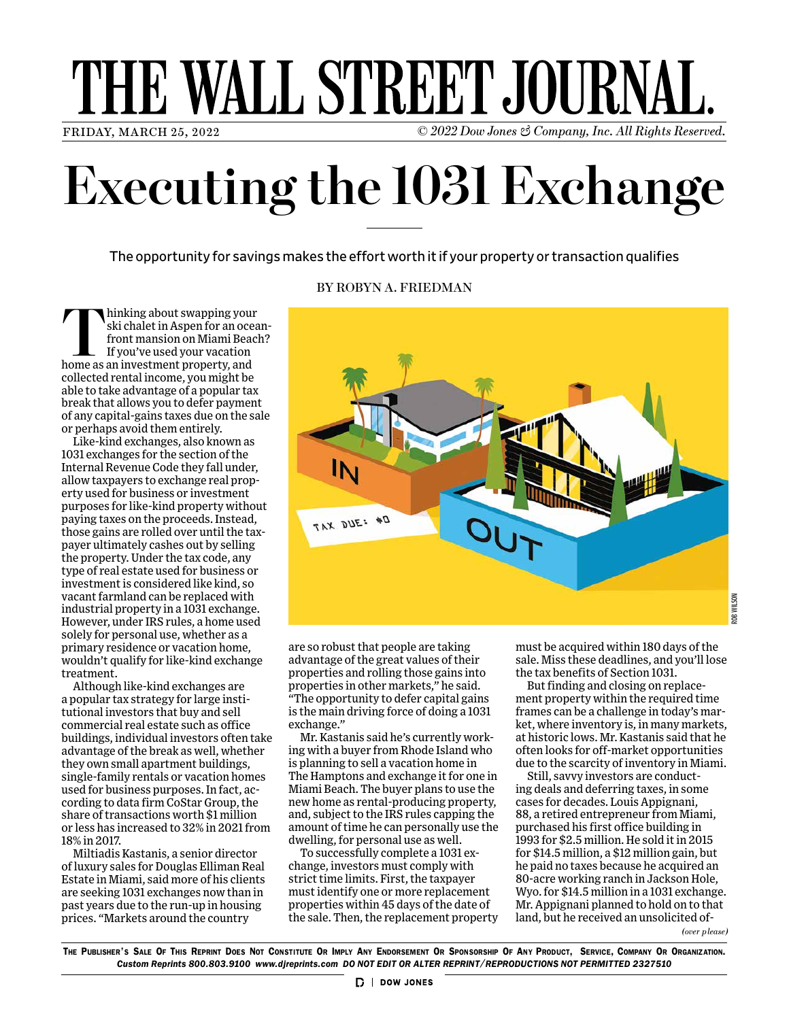# THE WALL STREET JOURNAL

FRIDAY, MARCH 25, 2022 © *2022 Dow Jones & Company, Inc. All Rights Reserved.*

## **Executing the 1031 Exchange**

The opportunity for savings makes the effort worth it if your property or transaction qualifies

**Thinking about swapping your ski chalet in Aspen for an ocea** front mansion on Miami Beacle<br>
If you've used your vacation<br>
home as an investment property, and ski chalet in Aspen for an oceanfront mansion on Miami Beach? If you've used your vacation collected rental income, you might be able to take advantage of a popular tax break that allows you to defer payment of any capital-gains taxes due on the sale or perhaps avoid them entirely.

Like-kind exchanges, also known as 1031 exchanges for the section of the Internal Revenue Code they fall under, allow taxpayers to exchange real property used for business or investment purposes for like-kind property without paying taxes on the proceeds. Instead, those gains are rolled over until the taxpayer ultimately cashes out by selling the property. Under the tax code, any type of real estate used for business or investment is considered like kind, so vacant farmland can be replaced with industrial property in a 1031 exchange. However, under IRS rules, a home used solely for personal use, whether as a primary residence or vacation home, wouldn't qualify for like-kind exchange treatment.

Although like-kind exchanges are a popular tax strategy for large institutional investors that buy and sell commercial real estate such as office buildings, individual investors often take advantage of the break as well, whether they own small apartment buildings, single-family rentals or vacation homes used for business purposes. In fact, according to data firm CoStar Group, the share of transactions worth \$1 million or less has increased to 32% in 2021 from 18% in 2017.

Miltiadis Kastanis, a senior director of luxury sales for Douglas Elliman Real Estate in Miami, said more of his clients are seeking 1031 exchanges now than in past years due to the run-up in housing prices. "Markets around the country

#### BY ROBYN A. FRIEDMAN



are so robust that people are taking advantage of the great values of their properties and rolling those gains into properties in other markets," he said. "The opportunity to defer capital gains is the main driving force of doing a 1031 exchange."

Mr. Kastanis said he's currently working with a buyer from Rhode Island who is planning to sell a vacation home in The Hamptons and exchange it for one in Miami Beach. The buyer plans to use the new home as rental-producing property, and, subject to the IRS rules capping the amount of time he can personally use the dwelling, for personal use as well.

To successfully complete a 1031 exchange, investors must comply with strict time limits. First, the taxpayer must identify one or more replacement properties within 45 days of the date of the sale. Then, the replacement property must be acquired within 180 days of the sale. Miss these deadlines, and you'll lose the tax benefits of Section 1031.

But finding and closing on replacement property within the required time frames can be a challenge in today's market, where inventory is, in many markets, at historic lows. Mr. Kastanis said that he often looks for off-market opportunities due to the scarcity of inventory in Miami.

*(over please)* Still, savvy investors are conducting deals and deferring taxes, in some cases for decades. Louis Appignani, 88, a retired entrepreneur from Miami, purchased his first office building in 1993 for \$2.5 million. He sold it in 2015 for \$14.5 million, a \$12 million gain, but he paid no taxes because he acquired an 80-acre working ranch in Jackson Hole, Wyo. for \$14.5 million in a 1031 exchange. Mr. Appignani planned to hold on to that land, but he received an unsolicited of-

The Publisher's Sale Of This Reprint Does Not Constitute Or Imply Any Endorsement Or Sponsorship Of Any Product, Service, Company Or Organization. *Custom Reprints 800.803.9100 www.djreprints.com DO NOT EDIT OR ALTER REPRINT/REPRODUCTIONS NOT PERMITTED 2327510*